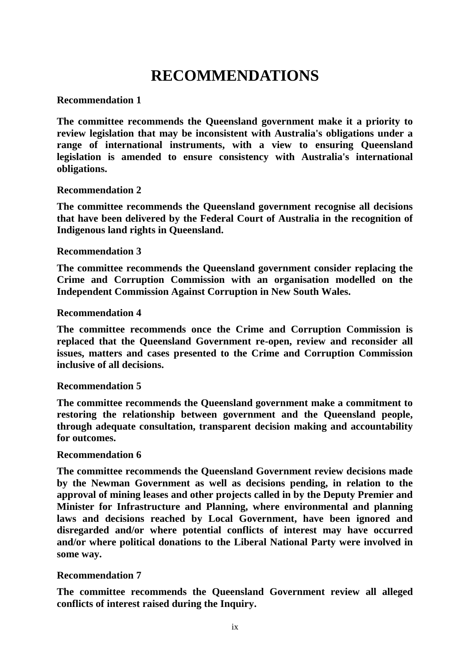# **RECOMMENDATIONS**

# **Recommendation 1**

**The committee recommends the Queensland government make it a priority to review legislation that may be inconsistent with Australia's obligations under a range of international instruments, with a view to ensuring Queensland legislation is amended to ensure consistency with Australia's international obligations.** 

## **Recommendation 2**

**The committee recommends the Queensland government recognise all decisions that have been delivered by the Federal Court of Australia in the recognition of Indigenous land rights in Queensland.**

## **Recommendation 3**

**The committee recommends the Queensland government consider replacing the Crime and Corruption Commission with an organisation modelled on the Independent Commission Against Corruption in New South Wales.**

## **Recommendation 4**

**The committee recommends once the Crime and Corruption Commission is replaced that the Queensland Government re-open, review and reconsider all issues, matters and cases presented to the Crime and Corruption Commission inclusive of all decisions.** 

#### **Recommendation 5**

**The committee recommends the Queensland government make a commitment to restoring the relationship between government and the Queensland people, through adequate consultation, transparent decision making and accountability for outcomes.** 

#### **Recommendation 6**

**The committee recommends the Queensland Government review decisions made by the Newman Government as well as decisions pending, in relation to the approval of mining leases and other projects called in by the Deputy Premier and Minister for Infrastructure and Planning, where environmental and planning laws and decisions reached by Local Government, have been ignored and disregarded and/or where potential conflicts of interest may have occurred and/or where political donations to the Liberal National Party were involved in some way.**

# **Recommendation 7**

**The committee recommends the Queensland Government review all alleged conflicts of interest raised during the Inquiry.**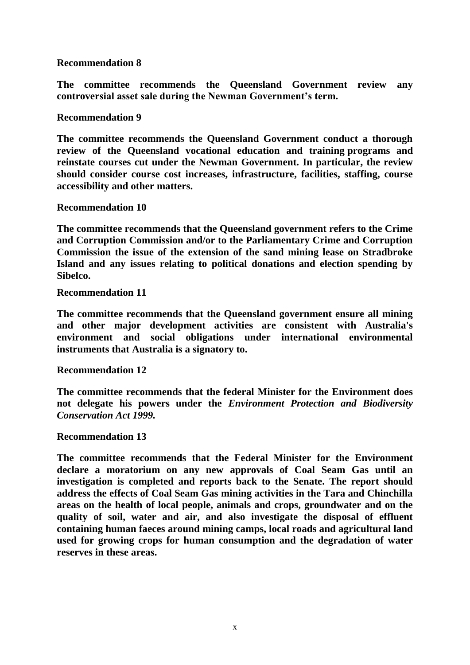## **Recommendation 8**

**The committee recommends the Queensland Government review any controversial asset sale during the Newman Government's term.**

**Recommendation 9**

**The committee recommends the Queensland Government conduct a thorough review of the Queensland vocational education and training programs and reinstate courses cut under the Newman Government. In particular, the review should consider course cost increases, infrastructure, facilities, staffing, course accessibility and other matters.**

**Recommendation 10**

**The committee recommends that the Queensland government refers to the Crime and Corruption Commission and/or to the Parliamentary Crime and Corruption Commission the issue of the extension of the sand mining lease on Stradbroke Island and any issues relating to political donations and election spending by Sibelco.**

**Recommendation 11**

**The committee recommends that the Queensland government ensure all mining and other major development activities are consistent with Australia's environment and social obligations under international environmental instruments that Australia is a signatory to.**

**Recommendation 12**

**The committee recommends that the federal Minister for the Environment does not delegate his powers under the** *Environment Protection and Biodiversity Conservation Act 1999.*

#### **Recommendation 13**

**The committee recommends that the Federal Minister for the Environment declare a moratorium on any new approvals of Coal Seam Gas until an investigation is completed and reports back to the Senate. The report should address the effects of Coal Seam Gas mining activities in the Tara and Chinchilla areas on the health of local people, animals and crops, groundwater and on the quality of soil, water and air, and also investigate the disposal of effluent containing human faeces around mining camps, local roads and agricultural land used for growing crops for human consumption and the degradation of water reserves in these areas.**